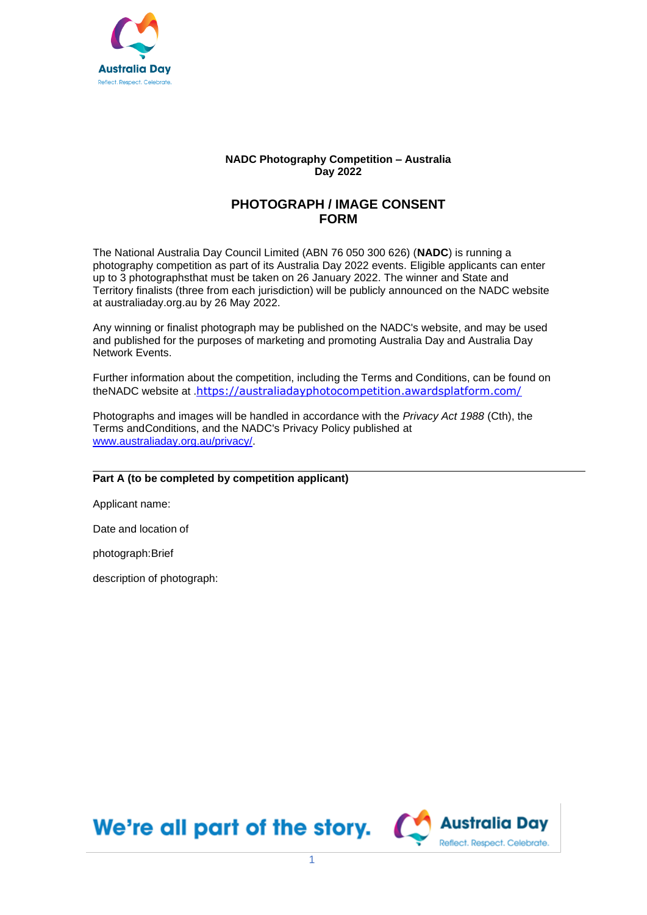

## **NADC Photography Competition – Australia Day 2022**

## **PHOTOGRAPH / IMAGE CONSENT FORM**

The National Australia Day Council Limited (ABN 76 050 300 626) (**NADC**) is running a photography competition as part of its Australia Day 2022 events. Eligible applicants can enter up to 3 photographsthat must be taken on 26 January 2022. The winner and State and Territory finalists (three from each jurisdiction) will be publicly announced on the NADC website at australiaday.org.au by 26 May 2022.

Any winning or finalist photograph may be published on the NADC's website, and may be used and published for the purposes of marketing and promoting Australia Day and Australia Day Network Events.

Further information about the competition, including the Terms and Conditions, can be found on theNADC website at [.](https://australiadayphotocompetition.awardsplatform.com/)<https://australiadayphotocompetition.awardsplatform.com/>

Photographs and images will be handled in accordance with the *Privacy Act 1988* (Cth), the Terms andConditions, and the NADC's Privacy Policy published at [www.australiaday.org.au/privacy/.](http://www.australiaday.org.au/privacy/)

## **Part A (to be completed by competition applicant)**

Applicant name:

Date and location of

photograph:Brief

description of photograph:

We're all part of the story.  $\alpha$